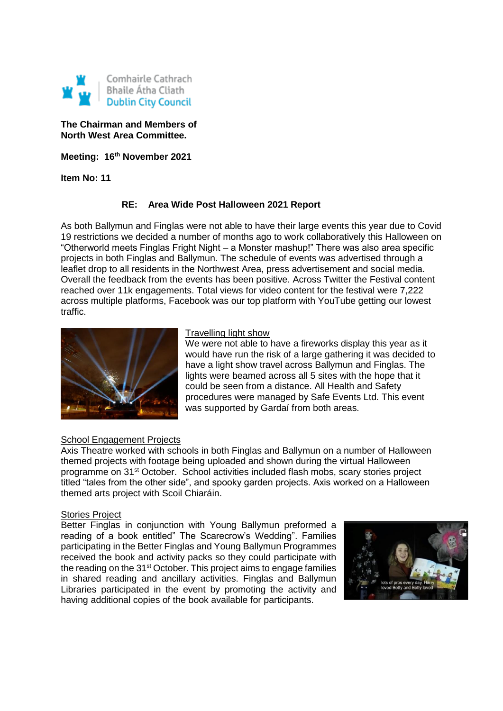

# **The Chairman and Members of North West Area Committee.**

**Meeting: 16th November 2021**

**Item No: 11**

# **RE: Area Wide Post Halloween 2021 Report**

As both Ballymun and Finglas were not able to have their large events this year due to Covid 19 restrictions we decided a number of months ago to work collaboratively this Halloween on "Otherworld meets Finglas Fright Night – a Monster mashup!" There was also area specific projects in both Finglas and Ballymun. The schedule of events was advertised through a leaflet drop to all residents in the Northwest Area, press advertisement and social media. Overall the feedback from the events has been positive. Across Twitter the Festival content reached over 11k engagements. Total views for video content for the festival were 7,222 across multiple platforms, Facebook was our top platform with YouTube getting our lowest traffic.



#### Travelling light show

We were not able to have a fireworks display this year as it would have run the risk of a large gathering it was decided to have a light show travel across Ballymun and Finglas. The lights were beamed across all 5 sites with the hope that it could be seen from a distance. All Health and Safety procedures were managed by Safe Events Ltd. This event was supported by Gardaí from both areas.

# School Engagement Projects

Axis Theatre worked with schools in both Finglas and Ballymun on a number of Halloween themed projects with footage being uploaded and shown during the virtual Halloween programme on 31st October. School activities included flash mobs, scary stories project titled "tales from the other side", and spooky garden projects. Axis worked on a Halloween themed arts project with Scoil Chiaráin.

# Stories Project

Better Finglas in conjunction with Young Ballymun preformed a reading of a book entitled" The Scarecrow's Wedding". Families participating in the Better Finglas and Young Ballymun Programmes received the book and activity packs so they could participate with the reading on the 31<sup>st</sup> October. This project aims to engage families in shared reading and ancillary activities. Finglas and Ballymun Libraries participated in the event by promoting the activity and having additional copies of the book available for participants.

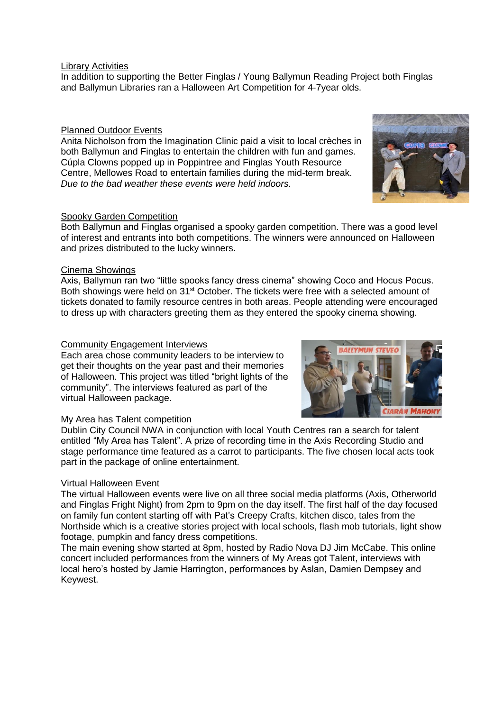#### Library Activities

In addition to supporting the Better Finglas / Young Ballymun Reading Project both Finglas and Ballymun Libraries ran a Halloween Art Competition for 4-7year olds.

#### Planned Outdoor Events

Anita Nicholson from the Imagination Clinic paid a visit to local crèches in both Ballymun and Finglas to entertain the children with fun and games. Cúpla Clowns popped up in Poppintree and Finglas Youth Resource Centre, Mellowes Road to entertain families during the mid-term break. *Due to the bad weather these events were held indoors.*

# Spooky Garden Competition

Both Ballymun and Finglas organised a spooky garden competition. There was a good level of interest and entrants into both competitions. The winners were announced on Halloween and prizes distributed to the lucky winners.

#### Cinema Showings

Axis, Ballymun ran two "little spooks fancy dress cinema" showing Coco and Hocus Pocus. Both showings were held on 31<sup>st</sup> October. The tickets were free with a selected amount of tickets donated to family resource centres in both areas. People attending were encouraged to dress up with characters greeting them as they entered the spooky cinema showing.

#### Community Engagement Interviews

Each area chose community leaders to be interview to get their thoughts on the year past and their memories of Halloween. This project was titled "bright lights of the community". The interviews featured as part of the virtual Halloween package.

# My Area has Talent competition

Dublin City Council NWA in conjunction with local Youth Centres ran a search for talent entitled "My Area has Talent". A prize of recording time in the Axis Recording Studio and stage performance time featured as a carrot to participants. The five chosen local acts took part in the package of online entertainment.

# Virtual Halloween Event

The virtual Halloween events were live on all three social media platforms (Axis, Otherworld and Finglas Fright Night) from 2pm to 9pm on the day itself. The first half of the day focused on family fun content starting off with Pat's Creepy Crafts, kitchen disco, tales from the Northside which is a creative stories project with local schools, flash mob tutorials, light show footage, pumpkin and fancy dress competitions.

The main evening show started at 8pm, hosted by Radio Nova DJ Jim McCabe. This online concert included performances from the winners of My Areas got Talent, interviews with local hero's hosted by Jamie Harrington, performances by Aslan, Damien Dempsey and Keywest.



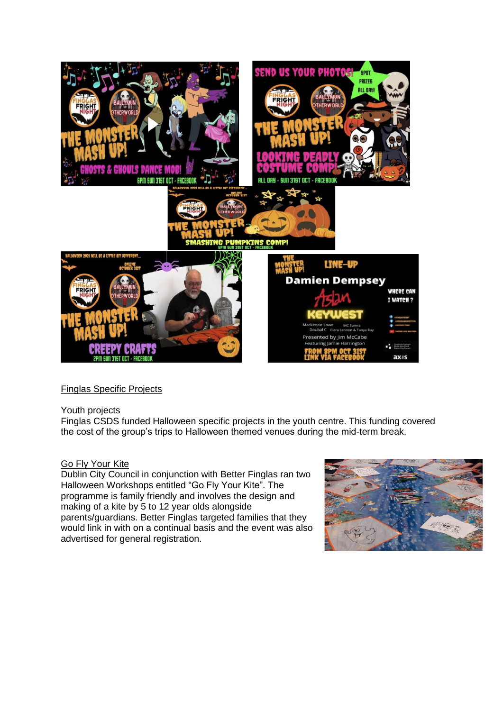

# Finglas Specific Projects

# Youth projects

Finglas CSDS funded Halloween specific projects in the youth centre. This funding covered the cost of the group's trips to Halloween themed venues during the mid-term break.

# Go Fly Your Kite

Dublin City Council in conjunction with Better Finglas ran two Halloween Workshops entitled "Go Fly Your Kite". The programme is family friendly and involves the design and making of a kite by 5 to 12 year olds alongside parents/guardians. Better Finglas targeted families that they would link in with on a continual basis and the event was also advertised for general registration.